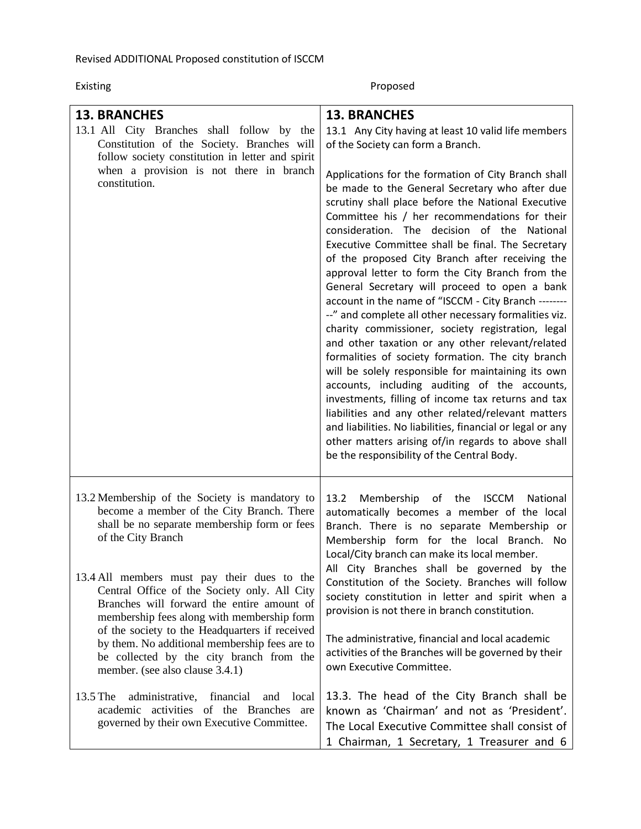Existing Proposed

| <b>13. BRANCHES</b><br>13.1 All City Branches shall follow by the<br>Constitution of the Society. Branches will<br>follow society constitution in letter and spirit<br>when a provision is not there in branch<br>constitution.                                                                                                                                                                                                                                                                                                                | <b>13. BRANCHES</b><br>13.1 Any City having at least 10 valid life members<br>of the Society can form a Branch.<br>Applications for the formation of City Branch shall<br>be made to the General Secretary who after due<br>scrutiny shall place before the National Executive<br>Committee his / her recommendations for their<br>consideration. The decision of the National<br>Executive Committee shall be final. The Secretary<br>of the proposed City Branch after receiving the<br>approval letter to form the City Branch from the<br>General Secretary will proceed to open a bank<br>account in the name of "ISCCM - City Branch --------<br>--" and complete all other necessary formalities viz.<br>charity commissioner, society registration, legal<br>and other taxation or any other relevant/related<br>formalities of society formation. The city branch<br>will be solely responsible for maintaining its own<br>accounts, including auditing of the accounts,<br>investments, filling of income tax returns and tax<br>liabilities and any other related/relevant matters<br>and liabilities. No liabilities, financial or legal or any<br>other matters arising of/in regards to above shall<br>be the responsibility of the Central Body. |
|------------------------------------------------------------------------------------------------------------------------------------------------------------------------------------------------------------------------------------------------------------------------------------------------------------------------------------------------------------------------------------------------------------------------------------------------------------------------------------------------------------------------------------------------|-----------------------------------------------------------------------------------------------------------------------------------------------------------------------------------------------------------------------------------------------------------------------------------------------------------------------------------------------------------------------------------------------------------------------------------------------------------------------------------------------------------------------------------------------------------------------------------------------------------------------------------------------------------------------------------------------------------------------------------------------------------------------------------------------------------------------------------------------------------------------------------------------------------------------------------------------------------------------------------------------------------------------------------------------------------------------------------------------------------------------------------------------------------------------------------------------------------------------------------------------------------------|
| 13.2 Membership of the Society is mandatory to<br>become a member of the City Branch. There<br>shall be no separate membership form or fees<br>of the City Branch<br>13.4 All members must pay their dues to the<br>Central Office of the Society only. All City<br>Branches will forward the entire amount of<br>membership fees along with membership form<br>of the society to the Headquarters if received<br>by them. No additional membership fees are to<br>be collected by the city branch from the<br>member. (see also clause 3.4.1) | Membership of the ISCCM<br>13.2<br>National<br>automatically becomes a member of the local<br>Branch. There is no separate Membership or<br>Membership form for the local Branch. No<br>Local/City branch can make its local member.<br>All City Branches shall be governed by the<br>Constitution of the Society. Branches will follow<br>society constitution in letter and spirit when a<br>provision is not there in branch constitution.<br>The administrative, financial and local academic<br>activities of the Branches will be governed by their<br>own Executive Committee.                                                                                                                                                                                                                                                                                                                                                                                                                                                                                                                                                                                                                                                                           |
| 13.5 The<br>administrative,<br>financial<br>and<br>local<br>academic activities of the Branches are<br>governed by their own Executive Committee.                                                                                                                                                                                                                                                                                                                                                                                              | 13.3. The head of the City Branch shall be<br>known as 'Chairman' and not as 'President'.<br>The Local Executive Committee shall consist of<br>1 Chairman, 1 Secretary, 1 Treasurer and 6                                                                                                                                                                                                                                                                                                                                                                                                                                                                                                                                                                                                                                                                                                                                                                                                                                                                                                                                                                                                                                                                       |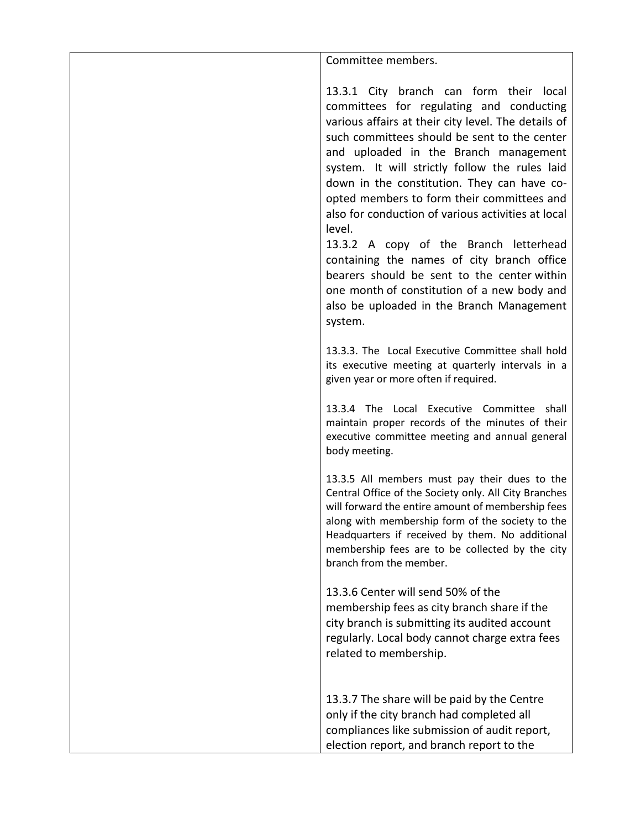Committee members.

13.3.1 City branch can form their local committees for regulating and conducting various affairs at their city level. The details of such committees should be sent to the center and uploaded in the Branch management system. It will strictly follow the rules laid down in the constitution. They can have coopted members to form their committees and also for conduction of various activities at local level.

13.3.2 A copy of the Branch letterhead containing the names of city branch office bearers should be sent to the center within one month of constitution of a new body and also be uploaded in the Branch Management system.

13.3.3. The Local Executive Committee shall hold its executive meeting at quarterly intervals in a given year or more often if required.

13.3.4 The Local Executive Committee shall maintain proper records of the minutes of their executive committee meeting and annual general body meeting.

13.3.5 All members must pay their dues to the Central Office of the Society only. All City Branches will forward the entire amount of membership fees along with membership form of the society to the Headquarters if received by them. No additional membership fees are to be collected by the city branch from the member.

13.3.6 Center will send 50% of the membership fees as city branch share if the city branch is submitting its audited account regularly. Local body cannot charge extra fees related to membership.

13.3.7 The share will be paid by the Centre only if the city branch had completed all compliances like submission of audit report, election report, and branch report to the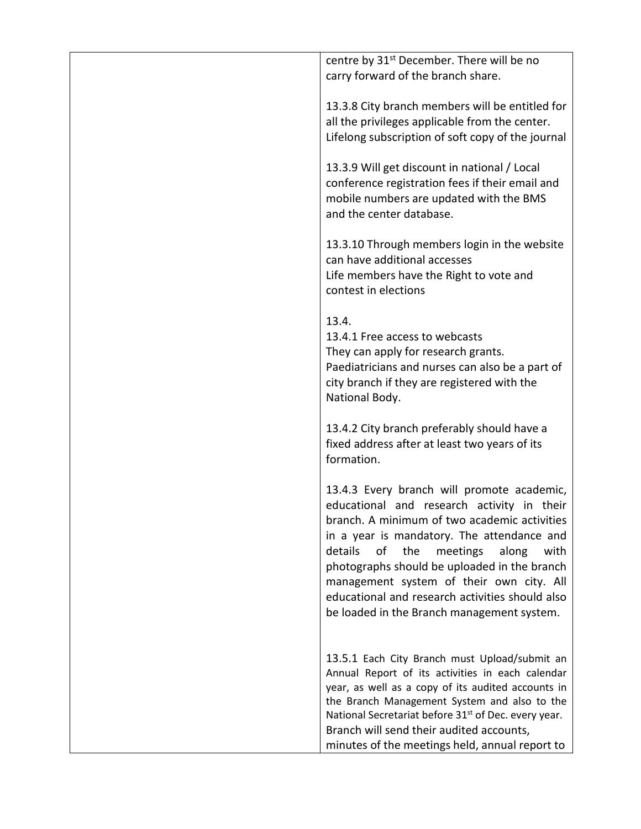| centre by 31 <sup>st</sup> December. There will be no                                                                                                                  |
|------------------------------------------------------------------------------------------------------------------------------------------------------------------------|
| carry forward of the branch share.                                                                                                                                     |
|                                                                                                                                                                        |
| 13.3.8 City branch members will be entitled for                                                                                                                        |
| all the privileges applicable from the center.                                                                                                                         |
| Lifelong subscription of soft copy of the journal                                                                                                                      |
|                                                                                                                                                                        |
| 13.3.9 Will get discount in national / Local<br>conference registration fees if their email and<br>mobile numbers are updated with the BMS<br>and the center database. |
| 13.3.10 Through members login in the website                                                                                                                           |
| can have additional accesses                                                                                                                                           |
| Life members have the Right to vote and                                                                                                                                |
| contest in elections                                                                                                                                                   |
|                                                                                                                                                                        |
| 13.4.                                                                                                                                                                  |
| 13.4.1 Free access to webcasts                                                                                                                                         |
| They can apply for research grants.                                                                                                                                    |
| Paediatricians and nurses can also be a part of                                                                                                                        |
| city branch if they are registered with the                                                                                                                            |
| National Body.                                                                                                                                                         |
|                                                                                                                                                                        |
| 13.4.2 City branch preferably should have a                                                                                                                            |
| fixed address after at least two years of its                                                                                                                          |
| formation.                                                                                                                                                             |
|                                                                                                                                                                        |
| 13.4.3 Every branch will promote academic,                                                                                                                             |
| educational and research activity in their                                                                                                                             |
| branch. A minimum of two academic activities                                                                                                                           |
| in a year is mandatory. The attendance and                                                                                                                             |
| details<br>of<br>the<br>meetings<br>along<br>with                                                                                                                      |
| photographs should be uploaded in the branch                                                                                                                           |
| management system of their own city. All                                                                                                                               |
| educational and research activities should also                                                                                                                        |
| be loaded in the Branch management system.                                                                                                                             |
|                                                                                                                                                                        |
|                                                                                                                                                                        |
| 13.5.1 Each City Branch must Upload/submit an                                                                                                                          |
| Annual Report of its activities in each calendar                                                                                                                       |
| year, as well as a copy of its audited accounts in<br>the Branch Management System and also to the                                                                     |
| National Secretariat before 31 <sup>st</sup> of Dec. every year.                                                                                                       |
| Branch will send their audited accounts,                                                                                                                               |
| minutes of the meetings held, annual report to                                                                                                                         |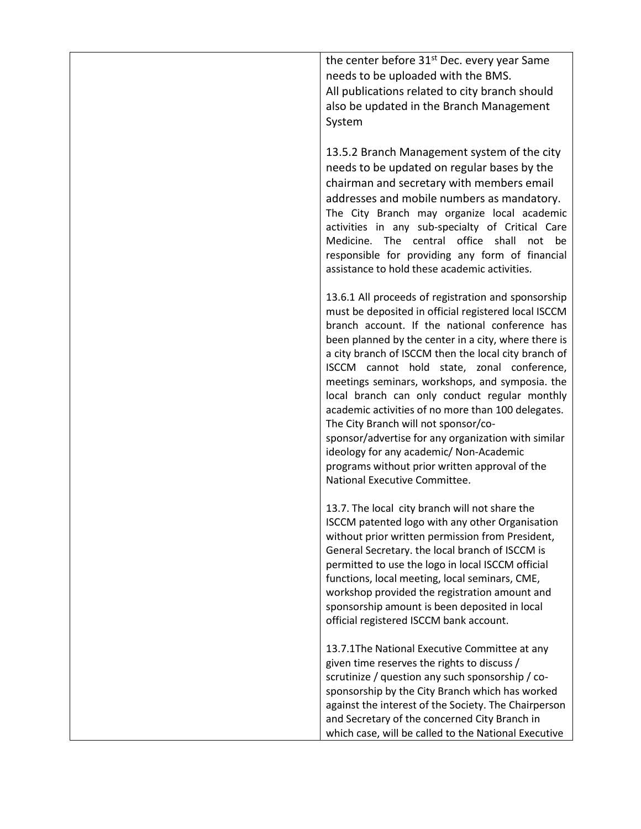the center before 31<sup>st</sup> Dec. every year Same needs to be uploaded with the BMS. All publications related to city branch should also be updated in the Branch Management System

13.5.2 Branch Management system of the city needs to be updated on regular bases by the chairman and secretary with members email addresses and mobile numbers as mandatory. The City Branch may organize local academic activities in any sub-specialty of Critical Care Medicine. The central office shall not be responsible for providing any form of financial assistance to hold these academic activities.

13.6.1 All proceeds of registration and sponsorship must be deposited in official registered local ISCCM branch account. If the national conference has been planned by the center in a city, where there is a city branch of ISCCM then the local city branch of ISCCM cannot hold state, zonal conference, meetings seminars, workshops, and symposia. the local branch can only conduct regular monthly academic activities of no more than 100 delegates. The City Branch will not sponsor/cosponsor/advertise for any organization with similar ideology for any academic/ Non-Academic programs without prior written approval of the National Executive Committee.

13.7. The local city branch will not share the ISCCM patented logo with any other Organisation without prior written permission from President, General Secretary. the local branch of ISCCM is permitted to use the logo in local ISCCM official functions, local meeting, local seminars, CME, workshop provided the registration amount and sponsorship amount is been deposited in local official registered ISCCM bank account.

13.7.1The National Executive Committee at any given time reserves the rights to discuss / scrutinize / question any such sponsorship / cosponsorship by the City Branch which has worked against the interest of the Society. The Chairperson and Secretary of the concerned City Branch in which case, will be called to the National Executive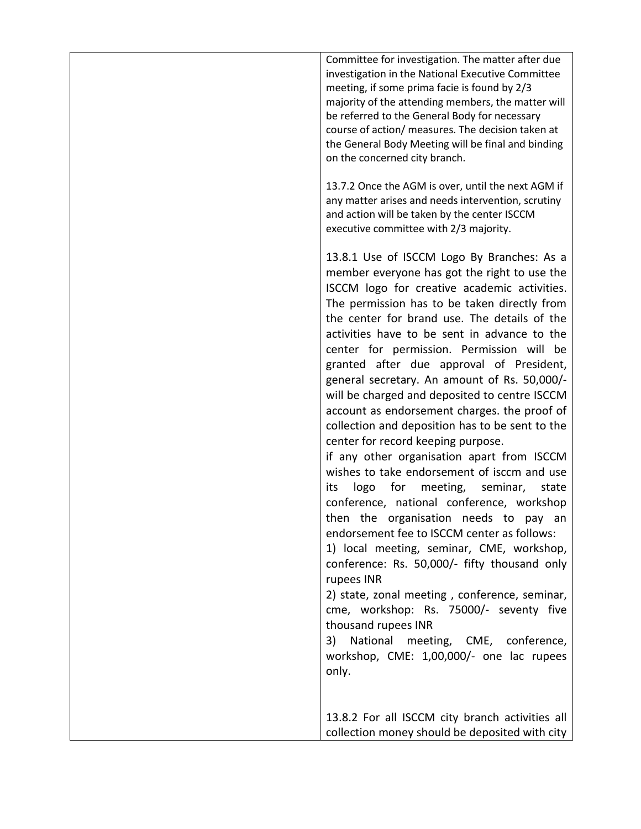Committee for investigation. The matter after due investigation in the National Executive Committee meeting, if some prima facie is found by 2/3 majority of the attending members, the matter will be referred to the General Body for necessary course of action/ measures. The decision taken at the General Body Meeting will be final and binding on the concerned city branch.

13.7.2 Once the AGM is over, until the next AGM if any matter arises and needs intervention, scrutiny and action will be taken by the center ISCCM executive committee with 2/3 majority.

13.8.1 Use of ISCCM Logo By Branches: As a member everyone has got the right to use the ISCCM logo for creative academic activities. The permission has to be taken directly from the center for brand use. The details of the activities have to be sent in advance to the center for permission. Permission will be granted after due approval of President, general secretary. An amount of Rs. 50,000/ will be charged and deposited to centre ISCCM account as endorsement charges. the proof of collection and deposition has to be sent to the center for record keeping purpose.

if any other organisation apart from ISCCM wishes to take endorsement of isccm and use its logo for meeting, seminar, state conference, national conference, workshop then the organisation needs to pay an endorsement fee to ISCCM center as follows:

1) local meeting, seminar, CME, workshop, conference: Rs. 50,000/- fifty thousand only rupees INR

2) state, zonal meeting , conference, seminar, cme, workshop: Rs. 75000/- seventy five thousand rupees INR

3) National meeting, CME, conference, workshop, CME: 1,00,000/- one lac rupees only.

13.8.2 For all ISCCM city branch activities all collection money should be deposited with city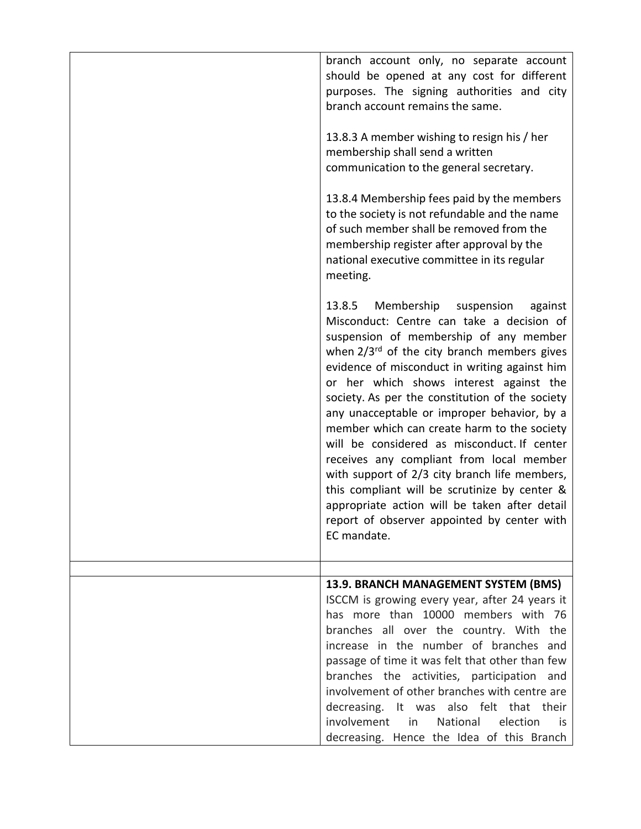| branch account only, no separate account<br>should be opened at any cost for different<br>purposes. The signing authorities and city<br>branch account remains the same.<br>13.8.3 A member wishing to resign his / her<br>membership shall send a written<br>communication to the general secretary.                                                                                                                                                                                                                                                                                                                                                                                                                                        |
|----------------------------------------------------------------------------------------------------------------------------------------------------------------------------------------------------------------------------------------------------------------------------------------------------------------------------------------------------------------------------------------------------------------------------------------------------------------------------------------------------------------------------------------------------------------------------------------------------------------------------------------------------------------------------------------------------------------------------------------------|
| 13.8.4 Membership fees paid by the members<br>to the society is not refundable and the name<br>of such member shall be removed from the<br>membership register after approval by the<br>national executive committee in its regular<br>meeting.                                                                                                                                                                                                                                                                                                                                                                                                                                                                                              |
| Membership<br>13.8.5<br>suspension<br>against<br>Misconduct: Centre can take a decision of<br>suspension of membership of any member<br>when 2/3rd of the city branch members gives<br>evidence of misconduct in writing against him<br>or her which shows interest against the<br>society. As per the constitution of the society<br>any unacceptable or improper behavior, by a<br>member which can create harm to the society<br>will be considered as misconduct. If center<br>receives any compliant from local member<br>with support of 2/3 city branch life members,<br>this compliant will be scrutinize by center &<br>appropriate action will be taken after detail<br>report of observer appointed by center with<br>EC mandate. |
|                                                                                                                                                                                                                                                                                                                                                                                                                                                                                                                                                                                                                                                                                                                                              |
| 13.9. BRANCH MANAGEMENT SYSTEM (BMS)<br>ISCCM is growing every year, after 24 years it<br>has more than 10000 members with 76<br>branches all over the country. With the<br>increase in the number of branches and<br>passage of time it was felt that other than few<br>branches the activities, participation and<br>involvement of other branches with centre are<br>decreasing. It was also felt that their<br>involvement in<br>National<br>election<br>is<br>decreasing. Hence the Idea of this Branch                                                                                                                                                                                                                                 |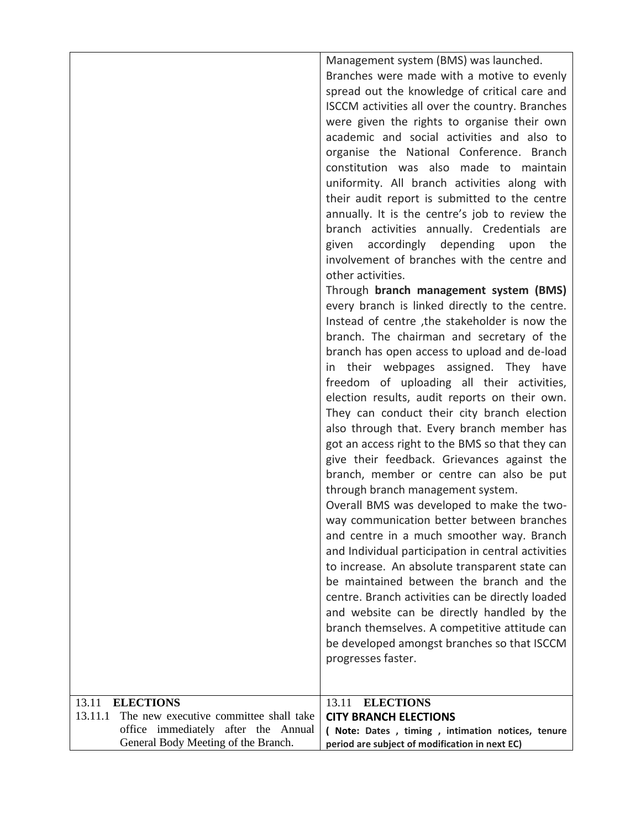|                                                   | Management system (BMS) was launched.<br>Branches were made with a motive to evenly |
|---------------------------------------------------|-------------------------------------------------------------------------------------|
|                                                   | spread out the knowledge of critical care and                                       |
|                                                   | ISCCM activities all over the country. Branches                                     |
|                                                   | were given the rights to organise their own                                         |
|                                                   | academic and social activities and also to                                          |
|                                                   | organise the National Conference. Branch                                            |
|                                                   | constitution was also made to maintain                                              |
|                                                   | uniformity. All branch activities along with                                        |
|                                                   | their audit report is submitted to the centre                                       |
|                                                   | annually. It is the centre's job to review the                                      |
|                                                   | branch activities annually. Credentials are                                         |
|                                                   | given accordingly depending upon<br>the                                             |
|                                                   | involvement of branches with the centre and                                         |
|                                                   | other activities.                                                                   |
|                                                   | Through branch management system (BMS)                                              |
|                                                   | every branch is linked directly to the centre.                                      |
|                                                   | Instead of centre, the stakeholder is now the                                       |
|                                                   | branch. The chairman and secretary of the                                           |
|                                                   | branch has open access to upload and de-load                                        |
|                                                   | in their webpages assigned. They have                                               |
|                                                   | freedom of uploading all their activities,                                          |
|                                                   | election results, audit reports on their own.                                       |
|                                                   | They can conduct their city branch election                                         |
|                                                   | also through that. Every branch member has                                          |
|                                                   | got an access right to the BMS so that they can                                     |
|                                                   | give their feedback. Grievances against the                                         |
|                                                   | branch, member or centre can also be put                                            |
|                                                   | through branch management system.                                                   |
|                                                   | Overall BMS was developed to make the two-                                          |
|                                                   | way communication better between branches                                           |
|                                                   | and centre in a much smoother way. Branch                                           |
|                                                   | and Individual participation in central activities                                  |
|                                                   | to increase. An absolute transparent state can                                      |
|                                                   | be maintained between the branch and the                                            |
|                                                   | centre. Branch activities can be directly loaded                                    |
|                                                   | and website can be directly handled by the                                          |
|                                                   | branch themselves. A competitive attitude can                                       |
|                                                   | be developed amongst branches so that ISCCM                                         |
|                                                   | progresses faster.                                                                  |
|                                                   |                                                                                     |
| <b>ELECTIONS</b><br>13.11                         | <b>ELECTIONS</b><br>13.11                                                           |
| 13.11.1<br>The new executive committee shall take | <b>CITY BRANCH ELECTIONS</b>                                                        |
| office immediately after the Annual               | ( Note: Dates , timing , intimation notices, tenure                                 |
| General Body Meeting of the Branch.               | period are subject of modification in next EC)                                      |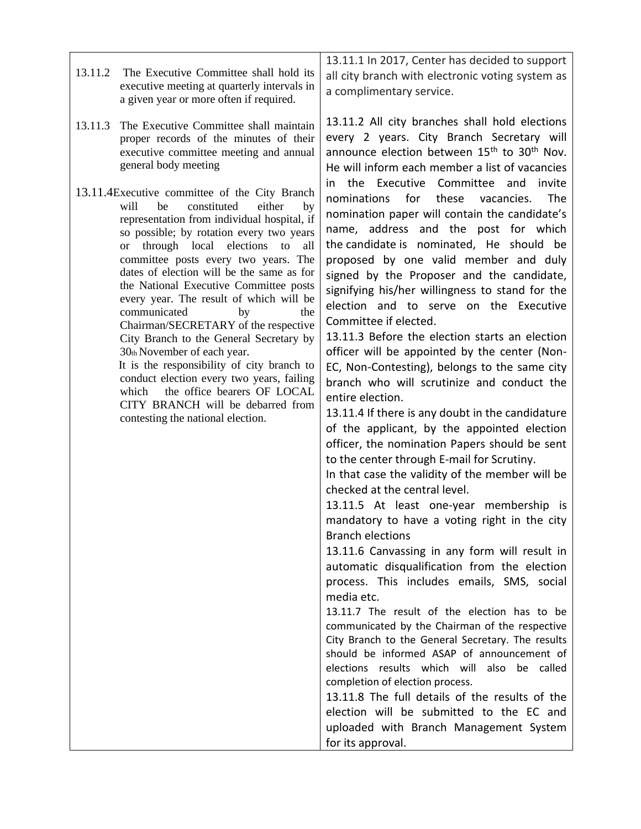| 13.11.2 | The Executive Committee shall hold its<br>executive meeting at quarterly intervals in<br>a given year or more often if required.                                                                                                                                                                                                                                                                                                                                                                                                                                                                                                                                                                                                                                     | 13.11.1 In 2017, Center has decided to support<br>all city branch with electronic voting system as<br>a complimentary service.                                                                                                                                                                                                                                                                                                                                                                                                                                                                                                                                                                                                                                                                                                                                                                                                                                                                                                                                                                                                                                                                                                                                                                                                                                                                                                                                                                                                                                                                                                                                                                   |
|---------|----------------------------------------------------------------------------------------------------------------------------------------------------------------------------------------------------------------------------------------------------------------------------------------------------------------------------------------------------------------------------------------------------------------------------------------------------------------------------------------------------------------------------------------------------------------------------------------------------------------------------------------------------------------------------------------------------------------------------------------------------------------------|--------------------------------------------------------------------------------------------------------------------------------------------------------------------------------------------------------------------------------------------------------------------------------------------------------------------------------------------------------------------------------------------------------------------------------------------------------------------------------------------------------------------------------------------------------------------------------------------------------------------------------------------------------------------------------------------------------------------------------------------------------------------------------------------------------------------------------------------------------------------------------------------------------------------------------------------------------------------------------------------------------------------------------------------------------------------------------------------------------------------------------------------------------------------------------------------------------------------------------------------------------------------------------------------------------------------------------------------------------------------------------------------------------------------------------------------------------------------------------------------------------------------------------------------------------------------------------------------------------------------------------------------------------------------------------------------------|
| 13.11.3 | The Executive Committee shall maintain<br>proper records of the minutes of their<br>executive committee meeting and annual<br>general body meeting                                                                                                                                                                                                                                                                                                                                                                                                                                                                                                                                                                                                                   | 13.11.2 All city branches shall hold elections<br>every 2 years. City Branch Secretary will<br>announce election between 15 <sup>th</sup> to 30 <sup>th</sup> Nov.<br>He will inform each member a list of vacancies                                                                                                                                                                                                                                                                                                                                                                                                                                                                                                                                                                                                                                                                                                                                                                                                                                                                                                                                                                                                                                                                                                                                                                                                                                                                                                                                                                                                                                                                             |
|         | 13.11.4 Executive committee of the City Branch<br>will<br>constituted<br>either<br>be<br>by<br>representation from individual hospital, if<br>so possible; by rotation every two years<br>or through local elections to<br>all<br>committee posts every two years. The<br>dates of election will be the same as for<br>the National Executive Committee posts<br>every year. The result of which will be<br>communicated<br>by<br>the<br>Chairman/SECRETARY of the respective<br>City Branch to the General Secretary by<br>30th November of each year.<br>It is the responsibility of city branch to<br>conduct election every two years, failing<br>the office bearers OF LOCAL<br>which<br>CITY BRANCH will be debarred from<br>contesting the national election. | in the Executive Committee and<br>invite<br>for<br>these<br>The<br>nominations<br>vacancies.<br>nomination paper will contain the candidate's<br>name, address and the post for which<br>the candidate is nominated, He should be<br>proposed by one valid member and duly<br>signed by the Proposer and the candidate,<br>signifying his/her willingness to stand for the<br>election and to serve on the Executive<br>Committee if elected.<br>13.11.3 Before the election starts an election<br>officer will be appointed by the center (Non-<br>EC, Non-Contesting), belongs to the same city<br>branch who will scrutinize and conduct the<br>entire election.<br>13.11.4 If there is any doubt in the candidature<br>of the applicant, by the appointed election<br>officer, the nomination Papers should be sent<br>to the center through E-mail for Scrutiny.<br>In that case the validity of the member will be<br>checked at the central level.<br>13.11.5 At least one-year membership is<br>mandatory to have a voting right in the city<br><b>Branch elections</b><br>13.11.6 Canvassing in any form will result in<br>automatic disqualification from the election<br>process. This includes emails, SMS, social<br>media etc.<br>13.11.7 The result of the election has to be<br>communicated by the Chairman of the respective<br>City Branch to the General Secretary. The results<br>should be informed ASAP of announcement of<br>elections results which will also be called<br>completion of election process.<br>13.11.8 The full details of the results of the<br>election will be submitted to the EC and<br>uploaded with Branch Management System<br>for its approval. |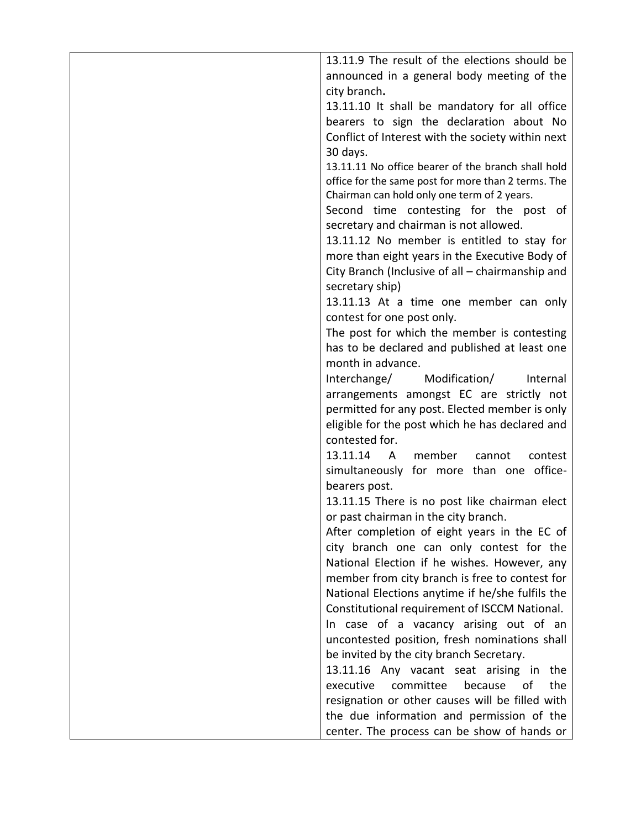| 13.11.9 The result of the elections should be           |
|---------------------------------------------------------|
| announced in a general body meeting of the              |
| city branch.                                            |
| 13.11.10 It shall be mandatory for all office           |
| bearers to sign the declaration about No                |
|                                                         |
| Conflict of Interest with the society within next       |
| 30 days.                                                |
| 13.11.11 No office bearer of the branch shall hold      |
| office for the same post for more than 2 terms. The     |
| Chairman can hold only one term of 2 years.             |
| Second time contesting for the post of                  |
| secretary and chairman is not allowed.                  |
| 13.11.12 No member is entitled to stay for              |
| more than eight years in the Executive Body of          |
| City Branch (Inclusive of all - chairmanship and        |
| secretary ship)                                         |
| 13.11.13 At a time one member can only                  |
|                                                         |
| contest for one post only.                              |
| The post for which the member is contesting             |
| has to be declared and published at least one           |
| month in advance.                                       |
| Interchange/<br>Modification/<br>Internal               |
| arrangements amongst EC are strictly not                |
| permitted for any post. Elected member is only          |
| eligible for the post which he has declared and         |
| contested for.                                          |
| 13.11.14<br>member<br>contest<br>$\mathsf{A}$<br>cannot |
| simultaneously for more than one office-                |
| bearers post.                                           |
| 13.11.15 There is no post like chairman elect           |
|                                                         |
| or past chairman in the city branch.                    |
| After completion of eight years in the EC of            |
| city branch one can only contest for the                |
| National Election if he wishes. However, any            |
| member from city branch is free to contest for          |
| National Elections anytime if he/she fulfils the        |
| Constitutional requirement of ISCCM National.           |
| In case of a vacancy arising out of an                  |
| uncontested position, fresh nominations shall           |
| be invited by the city branch Secretary.                |
| 13.11.16 Any vacant seat arising in the                 |
| executive<br>committee<br>the<br>because<br>οf          |
|                                                         |
| resignation or other causes will be filled with         |
| the due information and permission of the               |
| center. The process can be show of hands or             |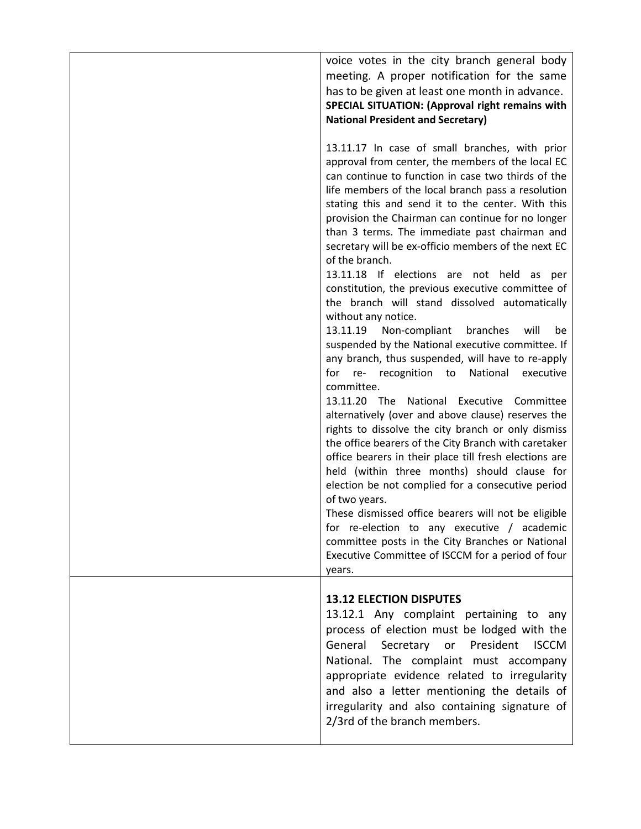| voice votes in the city branch general body<br>meeting. A proper notification for the same<br>has to be given at least one month in advance.<br>SPECIAL SITUATION: (Approval right remains with<br><b>National President and Secretary)</b>                                                                                                                                                                                                                                                                                                                                                                                                                                                                                                                                                                                                                                                                                                                                                                                                                                                                                                                                                                                                                                                                                                                                                                                                                                               |
|-------------------------------------------------------------------------------------------------------------------------------------------------------------------------------------------------------------------------------------------------------------------------------------------------------------------------------------------------------------------------------------------------------------------------------------------------------------------------------------------------------------------------------------------------------------------------------------------------------------------------------------------------------------------------------------------------------------------------------------------------------------------------------------------------------------------------------------------------------------------------------------------------------------------------------------------------------------------------------------------------------------------------------------------------------------------------------------------------------------------------------------------------------------------------------------------------------------------------------------------------------------------------------------------------------------------------------------------------------------------------------------------------------------------------------------------------------------------------------------------|
| 13.11.17 In case of small branches, with prior<br>approval from center, the members of the local EC<br>can continue to function in case two thirds of the<br>life members of the local branch pass a resolution<br>stating this and send it to the center. With this<br>provision the Chairman can continue for no longer<br>than 3 terms. The immediate past chairman and<br>secretary will be ex-officio members of the next EC<br>of the branch.<br>13.11.18 If elections are not held as per<br>constitution, the previous executive committee of<br>the branch will stand dissolved automatically<br>without any notice.<br>13.11.19 Non-compliant<br>branches<br>will<br>be<br>suspended by the National executive committee. If<br>any branch, thus suspended, will have to re-apply<br>for re-<br>recognition to National<br>executive<br>committee.<br>13.11.20 The National<br>Executive Committee<br>alternatively (over and above clause) reserves the<br>rights to dissolve the city branch or only dismiss<br>the office bearers of the City Branch with caretaker<br>office bearers in their place till fresh elections are<br>held (within three months) should clause for<br>election be not complied for a consecutive period<br>of two years.<br>These dismissed office bearers will not be eligible<br>for re-election to any executive / academic<br>committee posts in the City Branches or National<br>Executive Committee of ISCCM for a period of four<br>years. |
| <b>13.12 ELECTION DISPUTES</b><br>13.12.1 Any complaint pertaining to any<br>process of election must be lodged with the<br>Secretary or President<br>General<br><b>ISCCM</b><br>National. The complaint must accompany<br>appropriate evidence related to irregularity<br>and also a letter mentioning the details of<br>irregularity and also containing signature of<br>2/3rd of the branch members.                                                                                                                                                                                                                                                                                                                                                                                                                                                                                                                                                                                                                                                                                                                                                                                                                                                                                                                                                                                                                                                                                   |